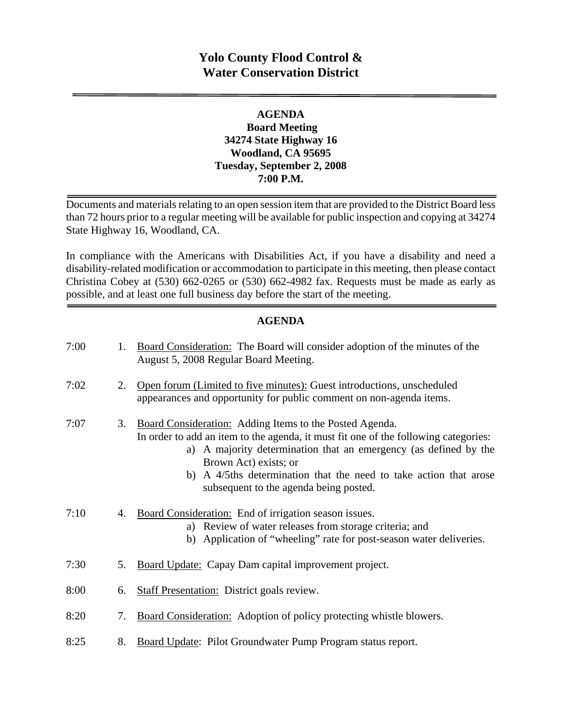# **Yolo County Flood Control & Water Conservation District**

#### **AGENDA Board Meeting 34274 State Highway 16 Woodland, CA 95695 Tuesday, September 2, 2008 7:00 P.M.**

Documents and materials relating to an open session item that are provided to the District Board less than 72 hours prior to a regular meeting will be available for public inspection and copying at 34274 State Highway 16, Woodland, CA.

In compliance with the Americans with Disabilities Act, if you have a disability and need a disability-related modification or accommodation to participate in this meeting, then please contact Christina Cobey at (530) 662-0265 or (530) 662-4982 fax. Requests must be made as early as possible, and at least one full business day before the start of the meeting.

#### **AGENDA**

| 7:00 | 1. | Board Consideration: The Board will consider adoption of the minutes of the<br>August 5, 2008 Regular Board Meeting.                                                                                                                                                                                                                                       |
|------|----|------------------------------------------------------------------------------------------------------------------------------------------------------------------------------------------------------------------------------------------------------------------------------------------------------------------------------------------------------------|
| 7:02 | 2. | Open forum (Limited to five minutes): Guest introductions, unscheduled<br>appearances and opportunity for public comment on non-agenda items.                                                                                                                                                                                                              |
| 7:07 | 3. | Board Consideration: Adding Items to the Posted Agenda.<br>In order to add an item to the agenda, it must fit one of the following categories:<br>a) A majority determination that an emergency (as defined by the<br>Brown Act) exists; or<br>b) A 4/5ths determination that the need to take action that arose<br>subsequent to the agenda being posted. |
| 7:10 | 4. | Board Consideration: End of irrigation season issues.<br>a) Review of water releases from storage criteria; and<br>b) Application of "wheeling" rate for post-season water deliveries.                                                                                                                                                                     |
| 7:30 | 5. | Board Update: Capay Dam capital improvement project.                                                                                                                                                                                                                                                                                                       |
| 8:00 | 6. | <b>Staff Presentation:</b> District goals review.                                                                                                                                                                                                                                                                                                          |
| 8:20 | 7. | Board Consideration: Adoption of policy protecting whistle blowers.                                                                                                                                                                                                                                                                                        |
| 8:25 | 8. | Board Update: Pilot Groundwater Pump Program status report.                                                                                                                                                                                                                                                                                                |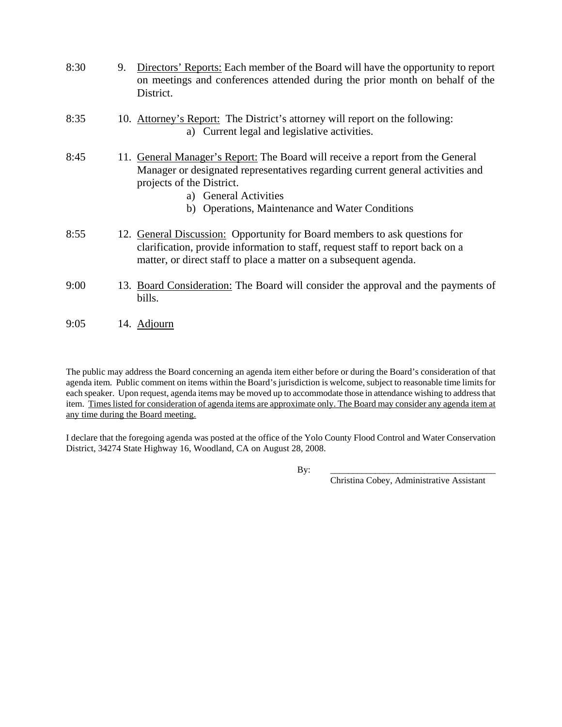| 8:30 | 9. | Directors' Reports: Each member of the Board will have the opportunity to report<br>on meetings and conferences attended during the prior month on behalf of the<br>District.                                                                                             |
|------|----|---------------------------------------------------------------------------------------------------------------------------------------------------------------------------------------------------------------------------------------------------------------------------|
| 8:35 |    | 10. Attorney's Report: The District's attorney will report on the following:<br>a) Current legal and legislative activities.                                                                                                                                              |
| 8:45 |    | 11. General Manager's Report: The Board will receive a report from the General<br>Manager or designated representatives regarding current general activities and<br>projects of the District.<br>a) General Activities<br>b) Operations, Maintenance and Water Conditions |
| 8:55 |    | 12. General Discussion: Opportunity for Board members to ask questions for<br>clarification, provide information to staff, request staff to report back on a<br>matter, or direct staff to place a matter on a subsequent agenda.                                         |
| 9:00 |    | 13. Board Consideration: The Board will consider the approval and the payments of<br>bills.                                                                                                                                                                               |
| 9:05 |    | 14. Adjourn                                                                                                                                                                                                                                                               |

The public may address the Board concerning an agenda item either before or during the Board's consideration of that agenda item. Public comment on items within the Board's jurisdiction is welcome, subject to reasonable time limits for each speaker. Upon request, agenda items may be moved up to accommodate those in attendance wishing to address that item. Times listed for consideration of agenda items are approximate only. The Board may consider any agenda item at any time during the Board meeting.

I declare that the foregoing agenda was posted at the office of the Yolo County Flood Control and Water Conservation District, 34274 State Highway 16, Woodland, CA on August 28, 2008.

By: \_\_\_\_\_\_\_\_\_\_\_\_\_\_\_\_\_\_\_\_\_\_\_\_\_\_\_\_\_\_\_\_\_\_\_\_\_

Christina Cobey, Administrative Assistant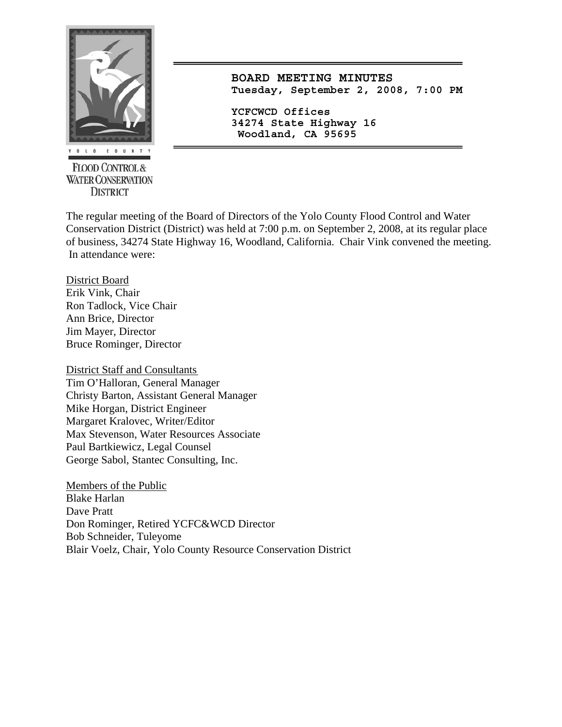

**FLOOD CONTROL & WATER CONSERVATION DISTRICT** 

**BOARD MEETING MINUTES Tuesday, September 2, 2008, 7:00 PM**

**YCFCWCD Offices 34274 State Highway 16 Woodland, CA 95695** 

The regular meeting of the Board of Directors of the Yolo County Flood Control and Water Conservation District (District) was held at 7:00 p.m. on September 2, 2008, at its regular place of business, 34274 State Highway 16, Woodland, California. Chair Vink convened the meeting. In attendance were:

District Board Erik Vink, Chair Ron Tadlock, Vice Chair Ann Brice, Director Jim Mayer, Director Bruce Rominger, Director

District Staff and Consultants Tim O'Halloran, General Manager Christy Barton, Assistant General Manager Mike Horgan, District Engineer Margaret Kralovec, Writer/Editor Max Stevenson, Water Resources Associate Paul Bartkiewicz, Legal Counsel George Sabol, Stantec Consulting, Inc.

Members of the Public Blake Harlan Dave Pratt Don Rominger, Retired YCFC&WCD Director Bob Schneider, Tuleyome Blair Voelz, Chair, Yolo County Resource Conservation District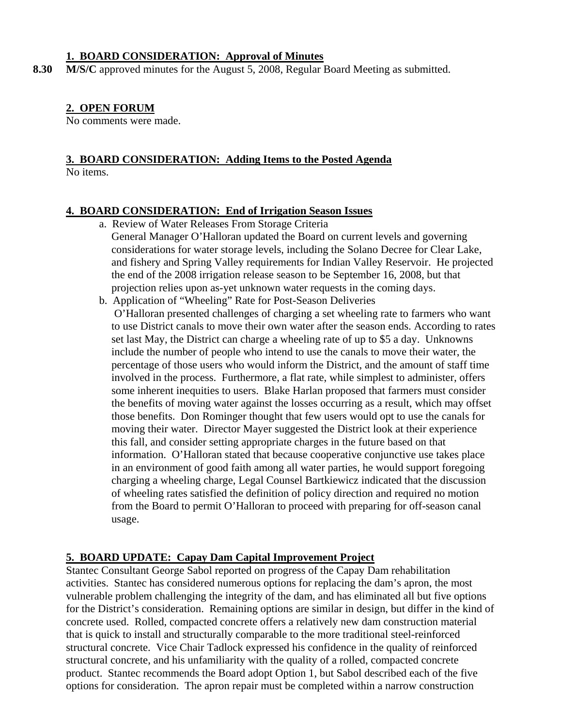#### **1. BOARD CONSIDERATION: Approval of Minutes**

**8.30 M/S/C** approved minutes for the August 5, 2008, Regular Board Meeting as submitted.

#### **2. OPEN FORUM**

No comments were made.

# **3. BOARD CONSIDERATION: Adding Items to the Posted Agenda**

No items.

#### **4. BOARD CONSIDERATION: End of Irrigation Season Issues**

- a. Review of Water Releases From Storage Criteria
- General Manager O'Halloran updated the Board on current levels and governing considerations for water storage levels, including the Solano Decree for Clear Lake, and fishery and Spring Valley requirements for Indian Valley Reservoir. He projected the end of the 2008 irrigation release season to be September 16, 2008, but that projection relies upon as-yet unknown water requests in the coming days.
- b. Application of "Wheeling" Rate for Post-Season Deliveries

 O'Halloran presented challenges of charging a set wheeling rate to farmers who want to use District canals to move their own water after the season ends. According to rates set last May, the District can charge a wheeling rate of up to \$5 a day. Unknowns include the number of people who intend to use the canals to move their water, the percentage of those users who would inform the District, and the amount of staff time involved in the process. Furthermore, a flat rate, while simplest to administer, offers some inherent inequities to users. Blake Harlan proposed that farmers must consider the benefits of moving water against the losses occurring as a result, which may offset those benefits. Don Rominger thought that few users would opt to use the canals for moving their water. Director Mayer suggested the District look at their experience this fall, and consider setting appropriate charges in the future based on that information. O'Halloran stated that because cooperative conjunctive use takes place in an environment of good faith among all water parties, he would support foregoing charging a wheeling charge, Legal Counsel Bartkiewicz indicated that the discussion of wheeling rates satisfied the definition of policy direction and required no motion from the Board to permit O'Halloran to proceed with preparing for off-season canal usage.

#### **5. BOARD UPDATE: Capay Dam Capital Improvement Project**

Stantec Consultant George Sabol reported on progress of the Capay Dam rehabilitation activities. Stantec has considered numerous options for replacing the dam's apron, the most vulnerable problem challenging the integrity of the dam, and has eliminated all but five options for the District's consideration. Remaining options are similar in design, but differ in the kind of concrete used. Rolled, compacted concrete offers a relatively new dam construction material that is quick to install and structurally comparable to the more traditional steel-reinforced structural concrete. Vice Chair Tadlock expressed his confidence in the quality of reinforced structural concrete, and his unfamiliarity with the quality of a rolled, compacted concrete product. Stantec recommends the Board adopt Option 1, but Sabol described each of the five options for consideration. The apron repair must be completed within a narrow construction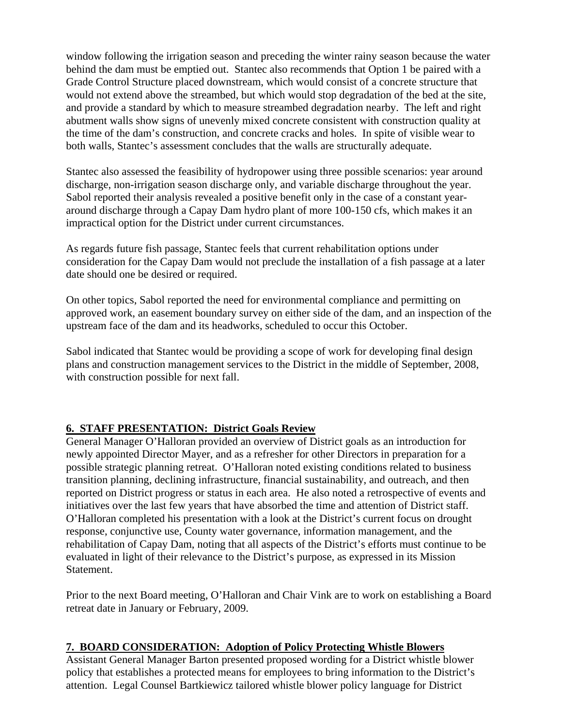window following the irrigation season and preceding the winter rainy season because the water behind the dam must be emptied out. Stantec also recommends that Option 1 be paired with a Grade Control Structure placed downstream, which would consist of a concrete structure that would not extend above the streambed, but which would stop degradation of the bed at the site, and provide a standard by which to measure streambed degradation nearby. The left and right abutment walls show signs of unevenly mixed concrete consistent with construction quality at the time of the dam's construction, and concrete cracks and holes. In spite of visible wear to both walls, Stantec's assessment concludes that the walls are structurally adequate.

Stantec also assessed the feasibility of hydropower using three possible scenarios: year around discharge, non-irrigation season discharge only, and variable discharge throughout the year. Sabol reported their analysis revealed a positive benefit only in the case of a constant yeararound discharge through a Capay Dam hydro plant of more 100-150 cfs, which makes it an impractical option for the District under current circumstances.

As regards future fish passage, Stantec feels that current rehabilitation options under consideration for the Capay Dam would not preclude the installation of a fish passage at a later date should one be desired or required.

On other topics, Sabol reported the need for environmental compliance and permitting on approved work, an easement boundary survey on either side of the dam, and an inspection of the upstream face of the dam and its headworks, scheduled to occur this October.

Sabol indicated that Stantec would be providing a scope of work for developing final design plans and construction management services to the District in the middle of September, 2008, with construction possible for next fall.

## **6. STAFF PRESENTATION: District Goals Review**

General Manager O'Halloran provided an overview of District goals as an introduction for newly appointed Director Mayer, and as a refresher for other Directors in preparation for a possible strategic planning retreat. O'Halloran noted existing conditions related to business transition planning, declining infrastructure, financial sustainability, and outreach, and then reported on District progress or status in each area. He also noted a retrospective of events and initiatives over the last few years that have absorbed the time and attention of District staff. O'Halloran completed his presentation with a look at the District's current focus on drought response, conjunctive use, County water governance, information management, and the rehabilitation of Capay Dam, noting that all aspects of the District's efforts must continue to be evaluated in light of their relevance to the District's purpose, as expressed in its Mission Statement.

Prior to the next Board meeting, O'Halloran and Chair Vink are to work on establishing a Board retreat date in January or February, 2009.

#### **7. BOARD CONSIDERATION: Adoption of Policy Protecting Whistle Blowers**

Assistant General Manager Barton presented proposed wording for a District whistle blower policy that establishes a protected means for employees to bring information to the District's attention. Legal Counsel Bartkiewicz tailored whistle blower policy language for District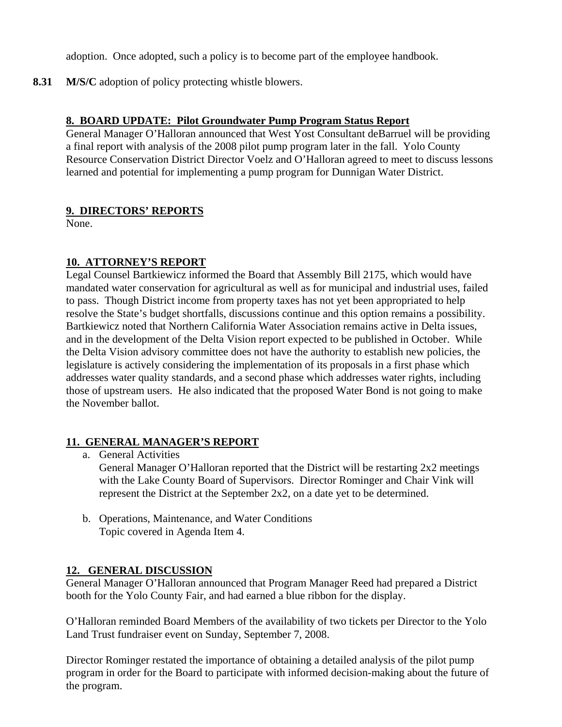adoption. Once adopted, such a policy is to become part of the employee handbook.

**8.31 M/S/C** adoption of policy protecting whistle blowers.

#### **8. BOARD UPDATE: Pilot Groundwater Pump Program Status Report**

General Manager O'Halloran announced that West Yost Consultant deBarruel will be providing a final report with analysis of the 2008 pilot pump program later in the fall. Yolo County Resource Conservation District Director Voelz and O'Halloran agreed to meet to discuss lessons learned and potential for implementing a pump program for Dunnigan Water District.

#### **9. DIRECTORS' REPORTS**

None.

### **10. ATTORNEY'S REPORT**

Legal Counsel Bartkiewicz informed the Board that Assembly Bill 2175, which would have mandated water conservation for agricultural as well as for municipal and industrial uses, failed to pass. Though District income from property taxes has not yet been appropriated to help resolve the State's budget shortfalls, discussions continue and this option remains a possibility. Bartkiewicz noted that Northern California Water Association remains active in Delta issues, and in the development of the Delta Vision report expected to be published in October. While the Delta Vision advisory committee does not have the authority to establish new policies, the legislature is actively considering the implementation of its proposals in a first phase which addresses water quality standards, and a second phase which addresses water rights, including those of upstream users. He also indicated that the proposed Water Bond is not going to make the November ballot.

## **11. GENERAL MANAGER'S REPORT**

a. General Activities

General Manager O'Halloran reported that the District will be restarting 2x2 meetings with the Lake County Board of Supervisors. Director Rominger and Chair Vink will represent the District at the September 2x2, on a date yet to be determined.

b. Operations, Maintenance, and Water Conditions Topic covered in Agenda Item 4.

#### **12. GENERAL DISCUSSION**

General Manager O'Halloran announced that Program Manager Reed had prepared a District booth for the Yolo County Fair, and had earned a blue ribbon for the display.

O'Halloran reminded Board Members of the availability of two tickets per Director to the Yolo Land Trust fundraiser event on Sunday, September 7, 2008.

Director Rominger restated the importance of obtaining a detailed analysis of the pilot pump program in order for the Board to participate with informed decision-making about the future of the program.